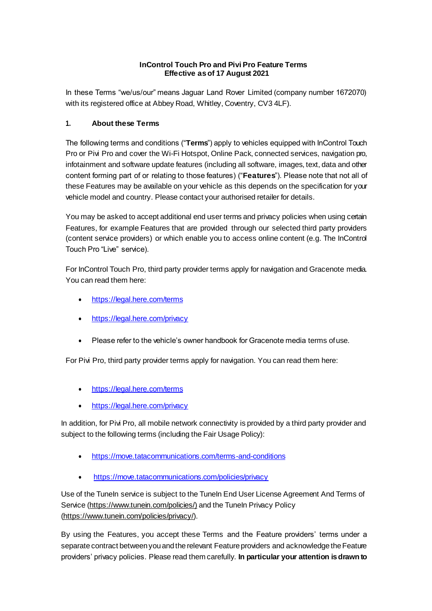## **InControl Touch Pro and Pivi Pro Feature Terms Effective as of 17 August 2021**

In these Terms "we/us/our" means Jaguar Land Rover Limited (company number 1672070) with its registered office at Abbey Road, Whitley, Coventry, CV3 4LF).

## **1. About these Terms**

The following terms and conditions ("**Terms**") apply to vehicles equipped with InControl Touch Pro or Pivi Pro and cover the Wi-Fi Hotspot, Online Pack, connected services, navigation pro, infotainment and software update features (including all software, images, text, data and other content forming part of or relating to those features) ("**Features**"). Please note that not all of these Features may be available on your vehicle as this depends on the specification for your vehicle model and country. Please contact your authorised retailer for details.

You may be asked to accept additional end user terms and privacy policies when using certain Features, for example Features that are provided through our selected third party providers (content service providers) or which enable you to access online content (e.g. The InControl Touch Pro "Live" service).

For InControl Touch Pro, third party provider terms apply for navigation and Gracenote media. You can read them here:

- <https://legal.here.com/terms>
- <https://legal.here.com/privacy>
- Please refer to the vehicle's owner handbook for Gracenote media terms ofuse.

For Pivi Pro, third party provider terms apply for navigation. You can read them here:

- <https://legal.here.com/terms>
- <https://legal.here.com/privacy>

In addition, for Pivi Pro, all mobile network connectivity is provided by a third party provider and subject to the following terms (including the Fair Usage Policy):

- <https://move.tatacommunications.com/terms-and-conditions>
- <https://move.tatacommunications.com/policies/privacy>

Use of the TuneIn service is subject to the TuneIn End User License Agreement And Terms of Service (https://www.tunein.com/policies/) and the TuneIn Privacy Policy (https://www.tunein.com/policies/privacy/).

By using the Features, you accept these Terms and the Feature providers' terms under a separate contract between you and the relevant Feature providers and acknowledge the Feature providers' privacy policies. Please read them carefully. **In particular your attention is drawn to**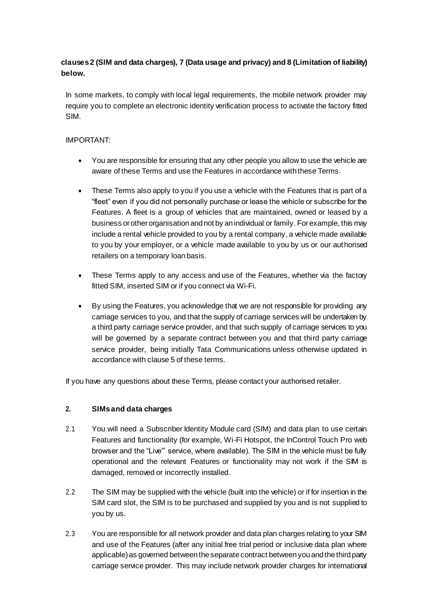# **clauses 2 (SIM and data charges)[, 7](#page-6-0) (Data usage and privacy) and [8](#page-6-1) (Limitation of liability) below.**

In some markets, to comply with local legal requirements, the mobile network provider may require you to complete an electronic identity verification process to activate the factory fitted SIM.

### IMPORTANT:

- You are responsible for ensuring that any other people you allow to use the vehicle are aware of these Terms and use the Features in accordance with these Terms.
- These Terms also apply to you if you use a vehicle with the Features that is part of a "fleet" even if you did not personally purchase or lease the vehicle or subscribe for the Features. A fleet is a group of vehicles that are maintained, owned or leased by a business or other organisation and not by an individual or family. For example, this may include a rental vehicle provided to you by a rental company, a vehicle made available to you by your employer, or a vehicle made available to you by us or our authorised retailers on a temporary loan basis.
- These Terms apply to any access and use of the Features, whether via the factory fitted SIM, inserted SIM or if you connect via Wi-Fi.
- By using the Features, you acknowledge that we are not responsible for providing any carriage services to you, and that the supply of carriage services will be undertaken by a third party carriage service provider, and that such supply of carriage services to you will be governed by a separate contract between you and that third party carriage service provider, being initially Tata Communications unless otherwise updated in accordance with clause 5 of these terms.

If you have any questions about these Terms, please contact your authorised retailer.

#### **2. SIMs and data charges**

- 2.1 You will need a Subscriber Identity Module card (SIM) and data plan to use certain Features and functionality (for example, Wi-Fi Hotspot, the InControl Touch Pro web browser and the "Live"' service, where available). The SIM in the vehicle must be fully operational and the relevant Features or functionality may not work if the SIM is damaged, removed or incorrectly installed.
- 2.2 The SIM may be supplied with the vehicle (built into the vehicle) or if for insertion in the SIM card slot, the SIM is to be purchased and supplied by you and is not supplied to you by us.
- 2.3 You are responsible for all network provider and data plan charges relating to your SIM and use of the Features (after any initial free trial period or inclusive data plan where applicable) as governed between the separate contract between you and the third party carriage service provider. This may include network provider charges for international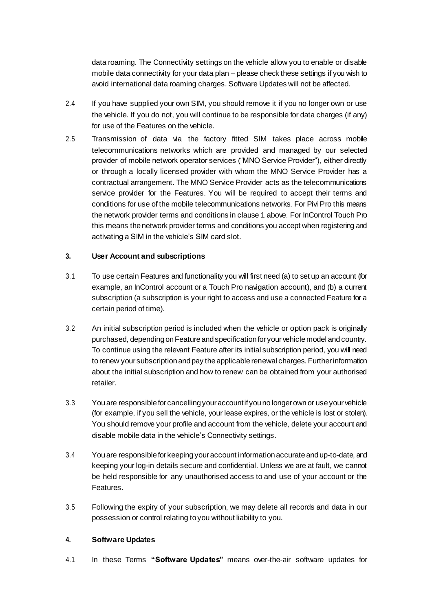data roaming. The Connectivity settings on the vehicle allow you to enable or disable mobile data connectivity for your data plan – please check these settings if you wish to avoid international data roaming charges. Software Updates will not be affected.

- 2.4 If you have supplied your own SIM, you should remove it if you no longer own or use the vehicle. If you do not, you will continue to be responsible for data charges (if any) for use of the Features on the vehicle.
- 2.5 Transmission of data via the factory fitted SIM takes place across mobile telecommunications networks which are provided and managed by our selected provider of mobile network operator services ("MNO Service Provider"), either directly or through a locally licensed provider with whom the MNO Service Provider has a contractual arrangement. The MNO Service Provider acts as the telecommunications service provider for the Features. You will be required to accept their terms and conditions for use of the mobile telecommunications networks. For Pivi Pro this means the network provider terms and conditions in clause 1 above. For InControl Touch Pro this means the network provider terms and conditions you accept when registering and activating a SIM in the vehicle's SIM card slot.

#### **3. User Account and subscriptions**

- 3.1 To use certain Features and functionality you will first need (a) to set up an account (for example, an InControl account or a Touch Pro navigation account), and (b) a current subscription (a subscription is your right to access and use a connected Feature for a certain period of time).
- <span id="page-2-0"></span>3.2 An initial subscription period is included when the vehicle or option pack is originally purchased, depending on Feature and specification for your vehicle model and country. To continue using the relevant Feature after its initial subscription period, you will need to renew your subscription and pay the applicable renewal charges. Further information about the initial subscription and how to renew can be obtained from your authorised retailer.
- 3.3 You are responsible for cancelling your account if you no longer own or use your vehicle (for example, if you sell the vehicle, your lease expires, or the vehicle is lost or stolen). You should remove your profile and account from the vehicle, delete your account and disable mobile data in the vehicle's Connectivity settings.
- 3.4 You are responsible for keeping your account information accurate and up-to-date, and keeping your log-in details secure and confidential. Unless we are at fault, we cannot be held responsible for any unauthorised access to and use of your account or the Features.
- 3.5 Following the expiry of your subscription, we may delete all records and data in our possession or control relating to you without liability to you.

#### **4. Software Updates**

4.1 In these Terms **"Software Updates"** means over-the-air software updates for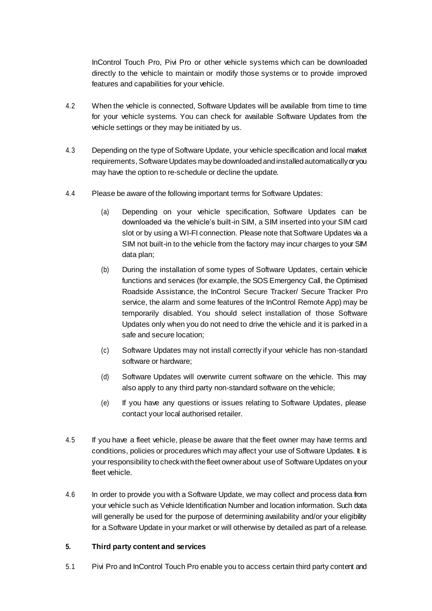InControl Touch Pro, Pivi Pro or other vehicle systems which can be downloaded directly to the vehicle to maintain or modify those systems or to provide improved features and capabilities for your vehicle.

- 4.2 When the vehicle is connected, Software Updates will be available from time to time for your vehicle systems. You can check for available Software Updates from the vehicle settings or they may be initiated by us.
- 4.3 Depending on the type of Software Update, your vehicle specification and local market requirements, Software Updates may be downloaded and installed automatically or you may have the option to re-schedule or decline the update.
- 4.4 Please be aware of the following important terms for Software Updates:
	- (a) Depending on your vehicle specification, Software Updates can be downloaded via the vehicle's built-in SIM, a SIM inserted into your SIM card slot or by using a WI-FI connection. Please note that Software Updates via a SIM not built-in to the vehicle from the factory may incur charges to your SIM data plan;
	- (b) During the installation of some types of Software Updates, certain vehicle functions and services (for example, the SOS Emergency Call, the Optimised Roadside Assistance, the InControl Secure Tracker/ Secure Tracker Pro service, the alarm and some features of the InControl Remote App) may be temporarily disabled. You should select installation of those Software Updates only when you do not need to drive the vehicle and it is parked in a safe and secure location;
	- (c) Software Updates may not install correctly if your vehicle has non-standard software or hardware;
	- (d) Software Updates will overwrite current software on the vehicle. This may also apply to any third party non-standard software on the vehicle;
	- (e) If you have any questions or issues relating to Software Updates, please contact your local authorised retailer.
- 4.5 If you have a fleet vehicle, please be aware that the fleet owner may have terms and conditions, policies or procedures which may affect your use of Software Updates. It is your responsibility to check with the fleet owner about use of Software Updates on your fleet vehicle.
- 4.6 In order to provide you with a Software Update, we may collect and process data from your vehicle such as Vehicle Identification Number and location information. Such data will generally be used for the purpose of determining availability and/or your eligibility for a Software Update in your market or will otherwise by detailed as part of a release.

#### **5. Third party content and services**

5.1 Pivi Pro and InControl Touch Pro enable you to access certain third party content and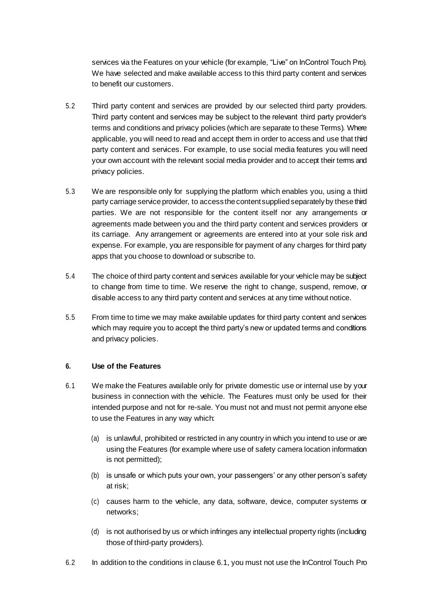services via the Features on your vehicle (for example, "Live" on InControl Touch Pro). We have selected and make available access to this third party content and services to benefit our customers.

- 5.2 Third party content and services are provided by our selected third party providers. Third party content and services may be subject to the relevant third party provider's terms and conditions and privacy policies (which are separate to these Terms). Where applicable, you will need to read and accept them in order to access and use that third party content and services. For example, to use social media features you will need your own account with the relevant social media provider and to accept their terms and privacy policies.
- 5.3 We are responsible only for supplying the platform which enables you, using a third party carriage service provider, to access the content supplied separately by these third parties. We are not responsible for the content itself nor any arrangements or agreements made between you and the third party content and services providers or its carriage. Any arrangement or agreements are entered into at your sole risk and expense. For example, you are responsible for payment of any charges for third party apps that you choose to download or subscribe to.
- 5.4 The choice of third party content and services available for your vehicle may be subject to change from time to time. We reserve the right to change, suspend, remove, or disable access to any third party content and services at any time without notice.
- 5.5 From time to time we may make available updates for third party content and services which may require you to accept the third party's new or updated terms and conditions and privacy policies.

#### **6. Use of the Features**

- <span id="page-4-0"></span>6.1 We make the Features available only for private domestic use or internal use by your business in connection with the vehicle. The Features must only be used for their intended purpose and not for re-sale. You must not and must not permit anyone else to use the Features in any way which:
	- (a) is unlawful, prohibited or restricted in any country in which you intend to use or are using the Features (for example where use of safety camera location information is not permitted);
	- (b) is unsafe or which puts your own, your passengers' or any other person's safety at risk;
	- (c) causes harm to the vehicle, any data, software, device, computer systems or networks;
	- (d) is not authorised by us or which infringes any intellectual property rights (including those of third-party providers).
- 6.2 In addition to the conditions in claus[e 6.1, y](#page-4-0)ou must not use the InControl Touch Pro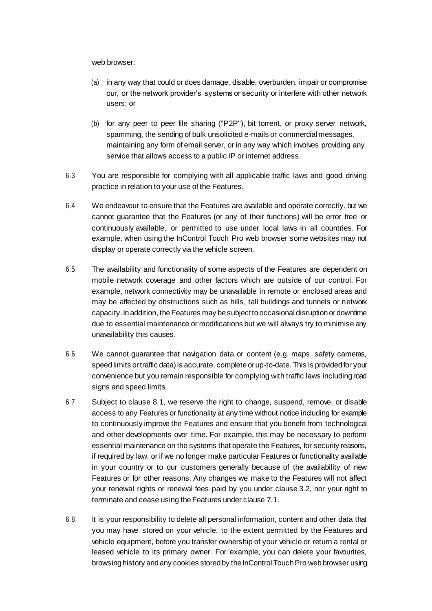web browser:

- (a) in any way that could or does damage, disable, overburden, impair or compromise our, or the network provider's systems or security or interfere with other network users; or
- (b) for any peer to peer file sharing ("P2P"), bit torrent, or proxy server network, spamming, the sending of bulk unsolicited e-mails or commercial messages, maintaining any form of email server, or in any way which involves providing any service that allows access to a public IP or internet address.
- 6.3 You are responsible for complying with all applicable traffic laws and good driving practice in relation to your use of the Features.
- 6.4 We endeavour to ensure that the Features are available and operate correctly, but we cannot guarantee that the Features (or any of their functions) will be error free or continuously available, or permitted to use under local laws in all countries. For example, when using the InControl Touch Pro web browser some websites may not display or operate correctly via the vehicle screen.
- 6.5 The availability and functionality of some aspects of the Features are dependent on mobile network coverage and other factors which are outside of our control. For example, network connectivity may be unavailable in remote or enclosed areas and may be affected by obstructions such as hills, tall buildings and tunnels or network capacity. In addition, the Features may be subject to occasional disruption or downtime due to essential maintenance or modifications but we will always try to minimise any unavailability this causes.
- 6.6 We cannot guarantee that navigation data or content (e.g. maps, safety cameras, speed limits or traffic data) is accurate, complete or up-to-date. This is provided for your convenience but you remain responsible for complying with traffic laws including road signs and speed limits.
- 6.7 Subject to claus[e 8.1,](#page-6-2) we reserve the right to change, suspend, remove, or disable access to any Features or functionality at any time without notice including for example to continuously improve the Features and ensure that you benefit from technological and other developments over time. For example, this may be necessary to perform essential maintenance on the systems that operate the Features, for security reasons, if required by law, or if we no longer make particular Features or functionality available in your country or to our customers generally because of the availability of new Features or for other reasons. Any changes we make to the Features will not affect your renewal rights or renewal fees paid by you under clause 3.2, nor your right to terminate and cease using the Features under clause 7.1.
- 6.8 It is your responsibility to delete all personal information, content and other data that you may have stored on your vehicle, to the extent permitted by the Features and vehicle equipment, before you transfer ownership of your vehicle or return a rental or leased vehicle to its primary owner. For example, you can delete your favourites, browsing history and any cookies stored by the InControl Touch Pro web browser using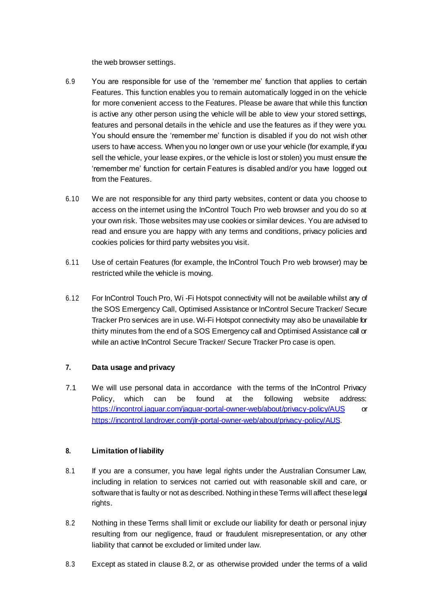the web browser settings.

- 6.9 You are responsible for use of the 'remember me' function that applies to certain Features. This function enables you to remain automatically logged in on the vehicle for more convenient access to the Features. Please be aware that while this function is active any other person using the vehicle will be able to view your stored settings, features and personal details in the vehicle and use the features as if they were you. You should ensure the 'remember me' function is disabled if you do not wish other users to have access. When you no longer own or use your vehicle (for example, if you sell the vehicle, your lease expires, or the vehicle is lost or stolen) you must ensure the 'remember me' function for certain Features is disabled and/or you have logged out from the Features.
- 6.10 We are not responsible for any third party websites, content or data you choose to access on the internet using the InControl Touch Pro web browser and you do so at your own risk. Those websites may use cookies or similar devices. You are advised to read and ensure you are happy with any terms and conditions, privacy policies and cookies policies for third party websites you visit.
- 6.11 Use of certain Features (for example, the InControl Touch Pro web browser) may be restricted while the vehicle is moving.
- 6.12 For InControl Touch Pro, Wi -Fi Hotspot connectivity will not be available whilst any of the SOS Emergency Call, Optimised Assistance or InControl Secure Tracker/ Secure Tracker Pro services are in use. Wi-Fi Hotspot connectivity may also be unavailable for thirty minutes from the end of a SOS Emergency call and Optimised Assistance call or while an active InControl Secure Tracker/ Secure Tracker Pro case is open.

## <span id="page-6-0"></span>**7. Data usage and privacy**

7.1 We will use personal data in accordance with the terms of the InControl Privacy Policy, which can be found at the following website address: <https://incontrol.jaguar.com/jaguar-portal-owner-web/about/privacy-policy/AUS> [or](https://incontrol.landrover.com/jlr-portal-owner-web/about/privacy-policy/AUS) [https://incontrol.landrover.com/jlr-portal-owner-web/about/privacy-policy/AUS.](https://incontrol.landrover.com/jlr-portal-owner-web/about/privacy-policy/AUS)

## <span id="page-6-1"></span>**8. Limitation of liability**

- <span id="page-6-2"></span>8.1 If you are a consumer, you have legal rights under the Australian Consumer Law, including in relation to services not carried out with reasonable skill and care, or software that is faulty or not as described. Nothing in these Terms will affect these legal rights.
- <span id="page-6-3"></span>8.2 Nothing in these Terms shall limit or exclude our liability for death or personal injury resulting from our negligence, fraud or fraudulent misrepresentation, or any other liability that cannot be excluded or limited under law.
- 8.3 Except as stated in claus[e 8.2, o](#page-6-3)r as otherwise provided under the terms of a valid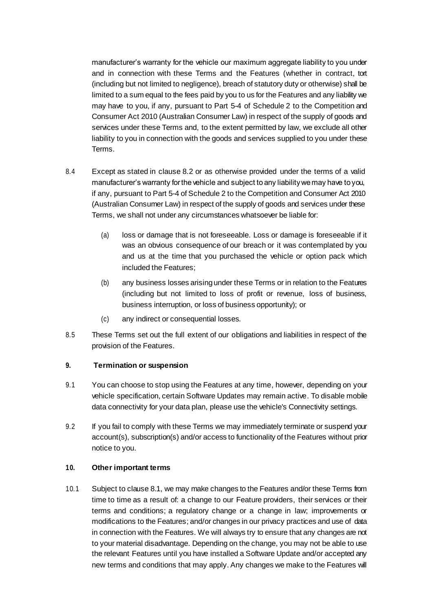manufacturer's warranty for the vehicle our maximum aggregate liability to you under and in connection with these Terms and the Features (whether in contract, tort (including but not limited to negligence), breach of statutory duty or otherwise) shall be limited to a sum equal to the fees paid by you to us for the Features and any liability we may have to you, if any, pursuant to Part 5-4 of Schedule 2 to the Competition and Consumer Act 2010 (Australian Consumer Law) in respect of the supply of goods and services under these Terms and, to the extent permitted by law, we exclude all other liability to you in connection with the goods and services supplied to you under these Terms.

- 8.4 Except as stated in claus[e 8.2 o](#page-6-3)r as otherwise provided under the terms of a valid manufacturer's warranty for the vehicle and subject to any liability we may have to you, if any, pursuant to Part 5-4 of Schedule 2 to the Competition and Consumer Act 2010 (Australian Consumer Law) in respect of the supply of goods and services under these Terms, we shall not under any circumstances whatsoever be liable for:
	- (a) loss or damage that is not foreseeable. Loss or damage is foreseeable if it was an obvious consequence of our breach or it was contemplated by you and us at the time that you purchased the vehicle or option pack which included the Features;
	- (b) any business losses arising under these Terms or in relation to the Features (including but not limited to loss of profit or revenue, loss of business, business interruption, or loss of business opportunity); or
	- (c) any indirect or consequential losses.
- 8.5 These Terms set out the full extent of our obligations and liabilities in respect of the provision of the Features.

#### **9. Termination or suspension**

- <span id="page-7-0"></span>9.1 You can choose to stop using the Features at any time, however, depending on your vehicle specification, certain Software Updates may remain active. To disable mobile data connectivity for your data plan, please use the vehicle's Connectivity settings.
- 9.2 If you fail to comply with these Terms we may immediately terminate or suspend your account(s), subscription(s) and/or access to functionality of the Features without prior notice to you.

#### **10. Other important terms**

10.1 Subject to claus[e 8.1,](#page-6-2) we may make changes to the Features and/or these Terms from time to time as a result of: a change to our Feature providers, their services or their terms and conditions; a regulatory change or a change in law; improvements or modifications to the Features; and/or changes in our privacy practices and use of data in connection with the Features. We will always try to ensure that any changes are not to your material disadvantage. Depending on the change, you may not be able to use the relevant Features until you have installed a Software Update and/or accepted any new terms and conditions that may apply. Any changes we make to the Features will